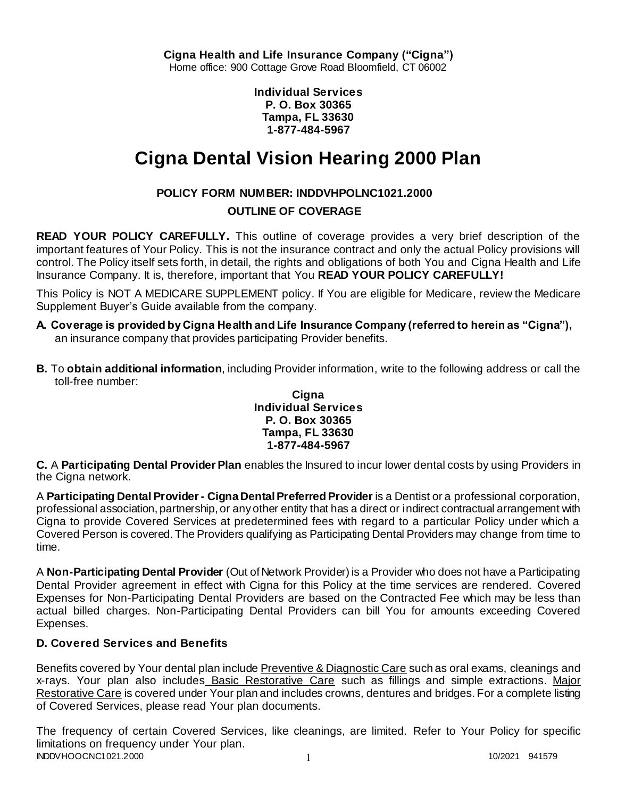**Individual Services P. O. Box 30365 Tampa, FL 33630 1-877-484-5967**

# **Cigna Dental Vision Hearing 2000 Plan**

# **POLICY FORM NUMBER: INDDVHPOLNC1021.2000**

# **OUTLINE OF COVERAGE**

**READ YOUR POLICY CAREFULLY.** This outline of coverage provides a very brief description of the important features of Your Policy. This is not the insurance contract and only the actual Policy provisions will control. The Policy itself sets forth, in detail, the rights and obligations of both You and Cigna Health and Life Insurance Company. It is, therefore, important that You **READ YOUR POLICY CAREFULLY!** 

This Policy is NOT A MEDICARE SUPPLEMENT policy. If You are eligible for Medicare, review the Medicare Supplement Buyer's Guide available from the company.

- **A. Coverage is provided by Cigna Health and Life Insurance Company (referred to herein as "Cigna"),**  an insurance company that provides participating Provider benefits.
- **B.** To **obtain additional information**, including Provider information, write to the following address or call the toll-free number:

### **Cigna Individual Services P. O. Box 30365 Tampa, FL 33630 1-877-484-5967**

**C.** A **Participating Dental Provider Plan** enables the Insured to incur lower dental costs by using Providers in the Cigna network.

A **Participating Dental Provider - Cigna Dental Preferred Provider** is a Dentist or a professional corporation, professional association, partnership, or any other entity that has a direct or indirect contractual arrangement with Cigna to provide Covered Services at predetermined fees with regard to a particular Policy under which a Covered Person is covered. The Providers qualifying as Participating Dental Providers may change from time to time.

A **Non-Participating Dental Provider** (Out of Network Provider) is a Provider who does not have a Participating Dental Provider agreement in effect with Cigna for this Policy at the time services are rendered. Covered Expenses for Non-Participating Dental Providers are based on the Contracted Fee which may be less than actual billed charges. Non-Participating Dental Providers can bill You for amounts exceeding Covered Expenses.

# **D. Covered Services and Benefits**

Benefits covered by Your dental plan include Preventive & Diagnostic Care such as oral exams, cleanings and x-rays. Your plan also includes Basic Restorative Care such as fillings and simple extractions. Major Restorative Care is covered under Your plan and includes crowns, dentures and bridges. For a complete listing of Covered Services, please read Your plan documents.

INDDVHOOCNC1021.2000 1 2000 1 2000 1 2000 1 2000 1 2000 1 2000 1 2000 1 2000 1 2000 1 2000 2010 1 2000 1 2000 1 2000 2010 1 2000 2010 1 2000 2010 2010 2010 2010 2010 2010 2010 2010 2010 2010 2010 2010 2010 2010 2010 2010 2 The frequency of certain Covered Services, like cleanings, are limited. Refer to Your Policy for specific limitations on frequency under Your plan.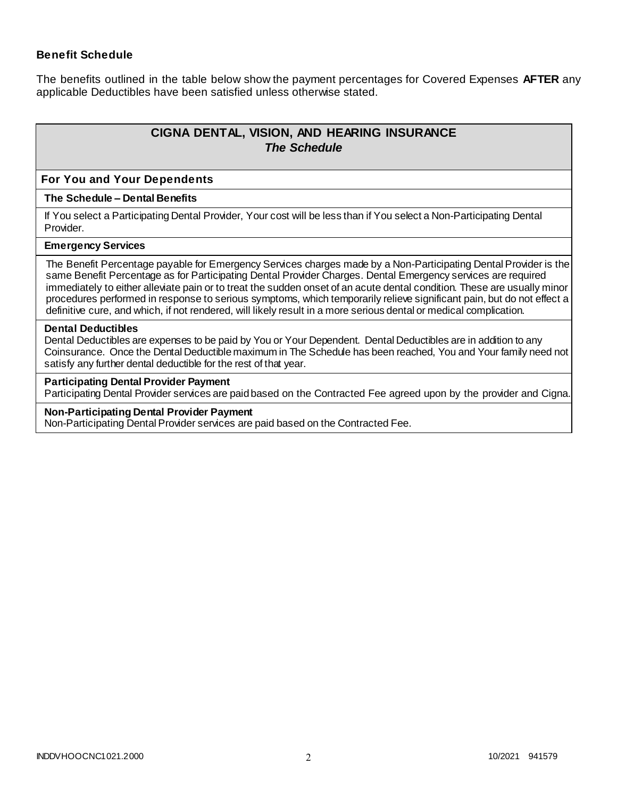### **Benefit Schedule**

The benefits outlined in the table below show the payment percentages for Covered Expenses **AFTER** any applicable Deductibles have been satisfied unless otherwise stated.

# **CIGNA DENTAL, VISION, AND HEARING INSURANCE** *The Schedule*

#### **For You and Your Dependents**

#### **The Schedule – Dental Benefits**

If You select a Participating Dental Provider, Your cost will be less than if You select a Non-Participating Dental Provider.

#### **Emergency Services**

The Benefit Percentage payable for Emergency Services charges made by a Non-Participating Dental Provider is the same Benefit Percentage as for Participating Dental Provider Charges. Dental Emergency services are required immediately to either alleviate pain or to treat the sudden onset of an acute dental condition. These are usually minor procedures performed in response to serious symptoms, which temporarily relieve significant pain, but do not effect a definitive cure, and which, if not rendered, will likely result in a more serious dental or medical complication.

#### **Dental Deductibles**

Dental Deductibles are expenses to be paid by You or Your Dependent. Dental Deductibles are in addition to any Coinsurance. Once the Dental Deductible maximum in The Schedule has been reached, You and Your family need not satisfy any further dental deductible for the rest of that year.

#### **Participating Dental Provider Payment**

Participating Dental Provider services are paid based on the Contracted Fee agreed upon by the provider and Cigna.

#### **Non-Participating Dental Provider Payment**

Non-Participating Dental Provider services are paid based on the Contracted Fee.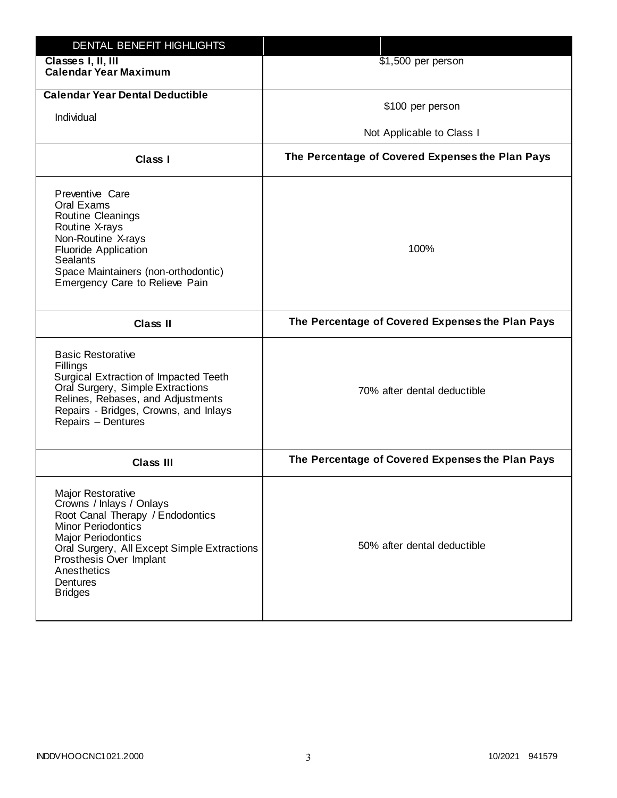| DENTAL BENEFIT HIGHLIGHTS                                                                                                                                                                                                                                          |                                                  |
|--------------------------------------------------------------------------------------------------------------------------------------------------------------------------------------------------------------------------------------------------------------------|--------------------------------------------------|
| Classes I, II, III<br><b>Calendar Year Maximum</b>                                                                                                                                                                                                                 | \$1,500 per person                               |
| <b>Calendar Year Dental Deductible</b><br>Individual                                                                                                                                                                                                               | \$100 per person<br>Not Applicable to Class I    |
| Class I                                                                                                                                                                                                                                                            | The Percentage of Covered Expenses the Plan Pays |
| Preventive Care<br>Oral Exams<br>Routine Cleanings<br>Routine X-rays<br>Non-Routine X-rays<br><b>Fluoride Application</b><br><b>Sealants</b><br>Space Maintainers (non-orthodontic)<br>Emergency Care to Relieve Pain                                              | 100%                                             |
| <b>Class II</b>                                                                                                                                                                                                                                                    | The Percentage of Covered Expenses the Plan Pays |
| <b>Basic Restorative</b><br>Fillings<br>Surgical Extraction of Impacted Teeth<br>Oral Surgery, Simple Extractions<br>Relines, Rebases, and Adjustments<br>Repairs - Bridges, Crowns, and Inlays<br>Repairs - Dentures                                              | 70% after dental deductible                      |
| <b>Class III</b>                                                                                                                                                                                                                                                   | The Percentage of Covered Expenses the Plan Pays |
| Major Restorative<br>Crowns / Inlays / Onlays<br>Root Canal Therapy / Endodontics<br><b>Minor Periodontics</b><br><b>Major Periodontics</b><br>Oral Surgery, All Except Simple Extractions<br>Prosthesis Over Implant<br>Anesthetics<br>Dentures<br><b>Bridges</b> | 50% after dental deductible                      |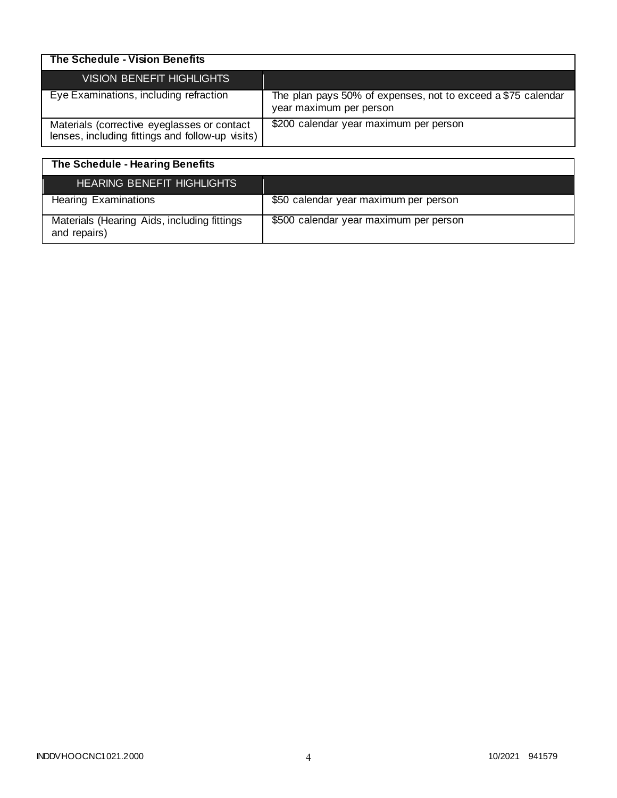| The Schedule - Vision Benefits                                                                  |                                                                                         |
|-------------------------------------------------------------------------------------------------|-----------------------------------------------------------------------------------------|
| VISION BENEFIT HIGHLIGHTS                                                                       |                                                                                         |
| Eye Examinations, including refraction                                                          | The plan pays 50% of expenses, not to exceed a \$75 calendar<br>year maximum per person |
| Materials (corrective eyeglasses or contact<br>lenses, including fittings and follow-up visits) | \$200 calendar year maximum per person                                                  |

| The Schedule - Hearing Benefits                             |                                        |
|-------------------------------------------------------------|----------------------------------------|
| HEARING BENEFIT HIGHLIGHTS                                  |                                        |
| <b>Hearing Examinations</b>                                 | \$50 calendar year maximum per person  |
| Materials (Hearing Aids, including fittings<br>and repairs) | \$500 calendar year maximum per person |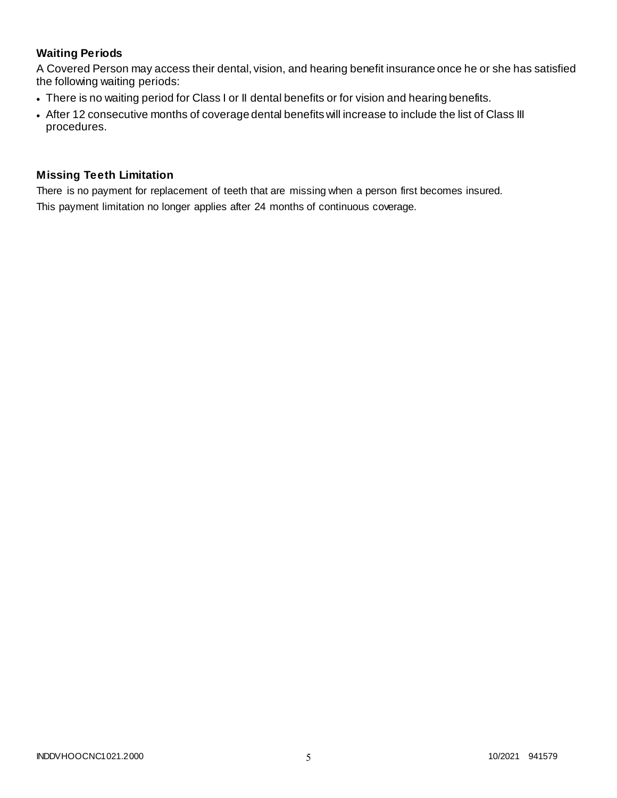## **Waiting Periods**

A Covered Person may access their dental, vision, and hearing benefit insurance once he or she has satisfied the following waiting periods:

- There is no waiting period for Class I or II dental benefits or for vision and hearing benefits.
- After 12 consecutive months of coverage dental benefits will increase to include the list of Class III procedures.

### **Missing Teeth Limitation**

There is no payment for replacement of teeth that are missing when a person first becomes insured. This payment limitation no longer applies after 24 months of continuous coverage.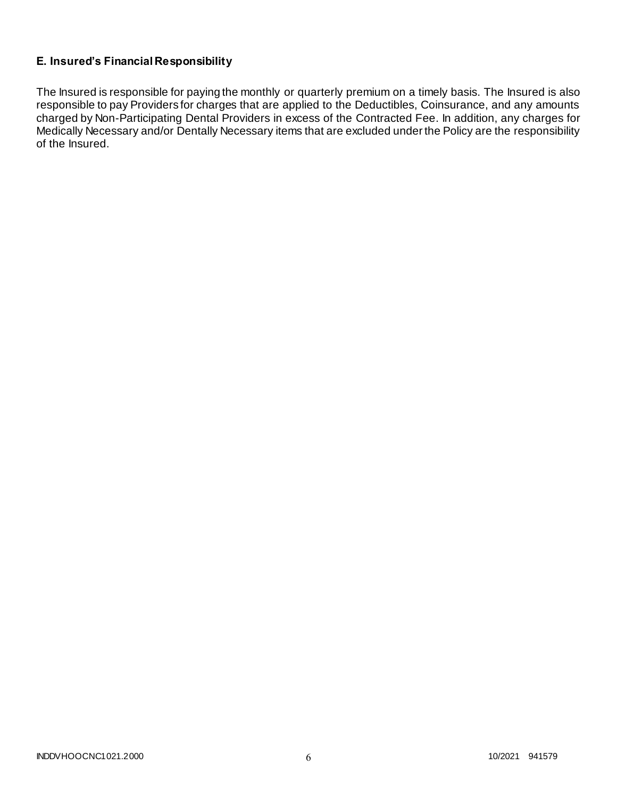# **E. Insured's Financial Responsibility**

The Insured is responsible for paying the monthly or quarterly premium on a timely basis. The Insured is also responsible to pay Providers for charges that are applied to the Deductibles, Coinsurance, and any amounts charged by Non-Participating Dental Providers in excess of the Contracted Fee. In addition, any charges for Medically Necessary and/or Dentally Necessary items that are excluded under the Policy are the responsibility of the Insured.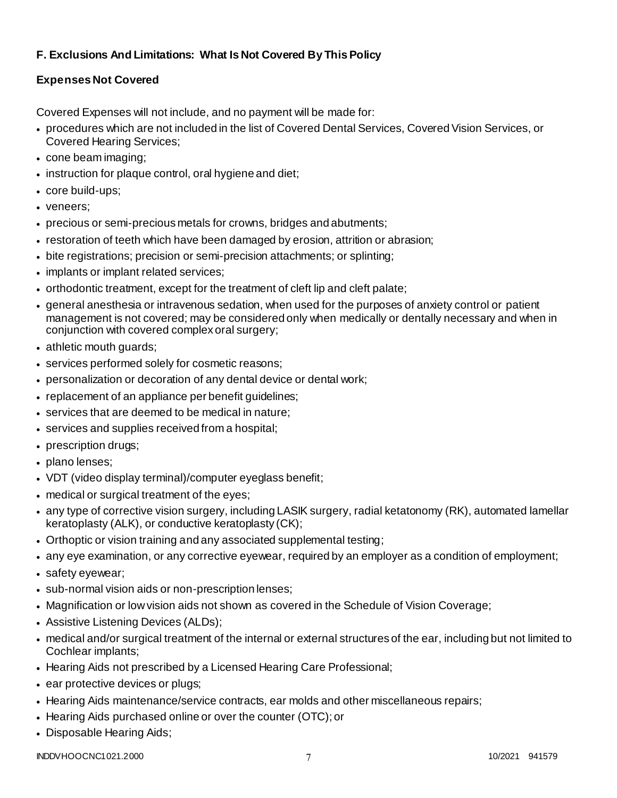# **F. Exclusions And Limitations: What Is Not Covered By This Policy**

# **Expenses Not Covered**

Covered Expenses will not include, and no payment will be made for:

- procedures which are not included in the list of Covered Dental Services, Covered Vision Services, or Covered Hearing Services;
- cone beam imaging;
- instruction for plaque control, oral hygiene and diet;
- core build-ups;
- veneers;
- precious or semi-precious metals for crowns, bridges and abutments;
- restoration of teeth which have been damaged by erosion, attrition or abrasion;
- bite registrations; precision or semi-precision attachments; or splinting;
- implants or implant related services;
- orthodontic treatment, except for the treatment of cleft lip and cleft palate;
- general anesthesia or intravenous sedation, when used for the purposes of anxiety control or patient management is not covered; may be considered only when medically or dentally necessary and when in conjunction with covered complex oral surgery;
- athletic mouth guards;
- services performed solely for cosmetic reasons;
- personalization or decoration of any dental device or dental work;
- replacement of an appliance per benefit guidelines;
- services that are deemed to be medical in nature;
- services and supplies received from a hospital;
- prescription drugs;
- plano lenses:
- VDT (video display terminal)/computer eyeglass benefit;
- medical or surgical treatment of the eyes;
- any type of corrective vision surgery, including LASIK surgery, radial ketatonomy (RK), automated lamellar keratoplasty (ALK), or conductive keratoplasty (CK);
- Orthoptic or vision training and any associated supplemental testing;
- any eye examination, or any corrective eyewear, required by an employer as a condition of employment;
- safety eyewear;
- sub-normal vision aids or non-prescription lenses;
- Magnification or low vision aids not shown as covered in the Schedule of Vision Coverage;
- Assistive Listening Devices (ALDs);
- medical and/or surgical treatment of the internal or external structures of the ear, including but not limited to Cochlear implants;
- Hearing Aids not prescribed by a Licensed Hearing Care Professional;
- ear protective devices or plugs;
- Hearing Aids maintenance/service contracts, ear molds and other miscellaneous repairs;
- Hearing Aids purchased online or over the counter (OTC); or
- Disposable Hearing Aids;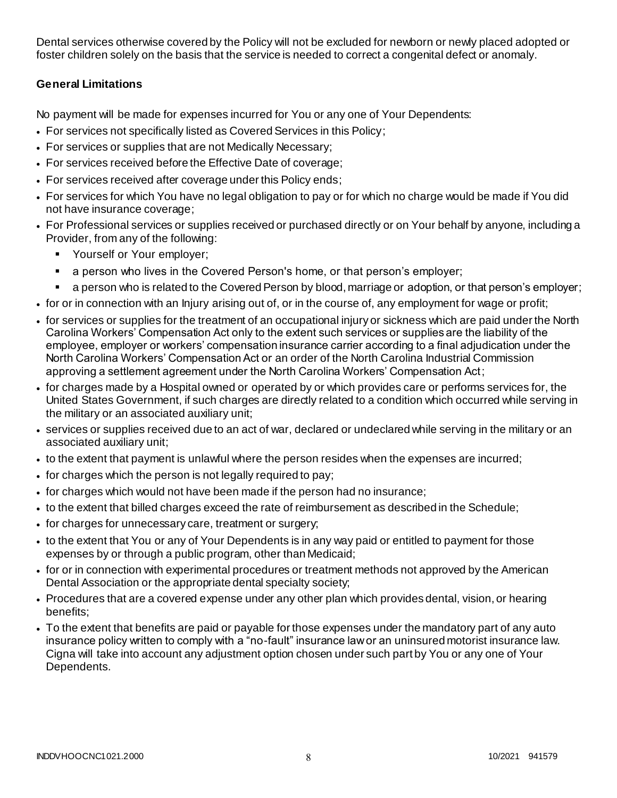Dental services otherwise covered by the Policy will not be excluded for newborn or newly placed adopted or foster children solely on the basis that the service is needed to correct a congenital defect or anomaly.

# **General Limitations**

No payment will be made for expenses incurred for You or any one of Your Dependents:

- For services not specifically listed as Covered Services in this Policy;
- For services or supplies that are not Medically Necessary;
- For services received before the Effective Date of coverage;
- For services received after coverage under this Policy ends;
- For services for which You have no legal obligation to pay or for which no charge would be made if You did not have insurance coverage;
- For Professional services or supplies received or purchased directly or on Your behalf by anyone, including a Provider, from any of the following:
	- **•** Yourself or Your employer;
	- a person who lives in the Covered Person's home, or that person's employer;
	- a person who is related to the Covered Person by blood, marriage or adoption, or that person's employer;
- for or in connection with an Injury arising out of, or in the course of, any employment for wage or profit;
- for services or supplies for the treatment of an occupational injury or sickness which are paid under the North Carolina Workers' Compensation Act only to the extent such services or supplies are the liability of the employee, employer or workers' compensation insurance carrier according to a final adjudication under the North Carolina Workers' Compensation Act or an order of the North Carolina Industrial Commission approving a settlement agreement under the North Carolina Workers' Compensation Act;
- for charges made by a Hospital owned or operated by or which provides care or performs services for, the United States Government, if such charges are directly related to a condition which occurred while serving in the military or an associated auxiliary unit;
- services or supplies received due to an act of war, declared or undeclared while serving in the military or an associated auxiliary unit;
- to the extent that payment is unlawful where the person resides when the expenses are incurred;
- $\bullet$  for charges which the person is not legally required to pay;
- for charges which would not have been made if the person had no insurance;
- to the extent that billed charges exceed the rate of reimbursement as described in the Schedule;
- for charges for unnecessary care, treatment or surgery;
- to the extent that You or any of Your Dependents is in any way paid or entitled to payment for those expenses by or through a public program, other than Medicaid;
- for or in connection with experimental procedures or treatment methods not approved by the American Dental Association or the appropriate dental specialty society;
- Procedures that are a covered expense under any other plan which provides dental, vision, or hearing benefits;
- To the extent that benefits are paid or payable for those expenses under the mandatory part of any auto insurance policy written to comply with a "no-fault" insurance law or an uninsured motorist insurance law. Cigna will take into account any adjustment option chosen under such part by You or any one of Your Dependents.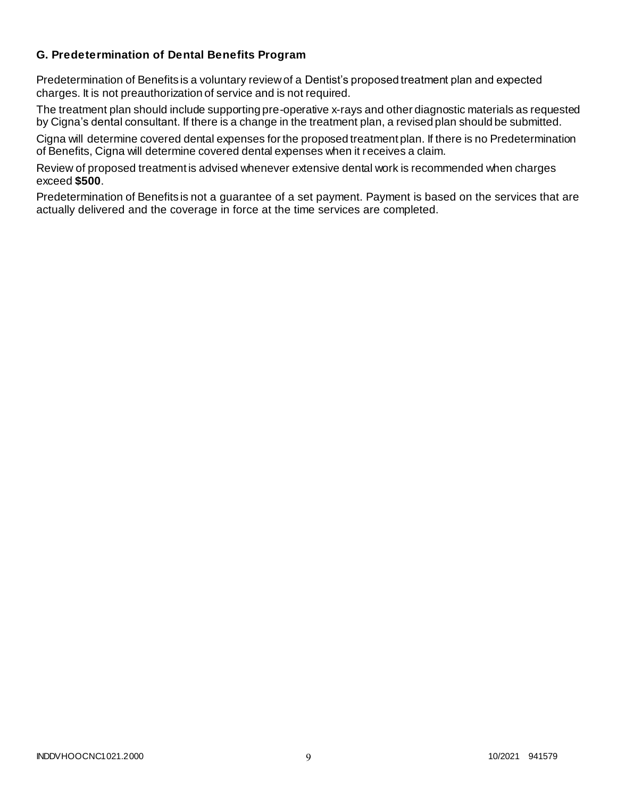### **G. Predetermination of Dental Benefits Program**

Predetermination of Benefits is a voluntary review of a Dentist's proposed treatment plan and expected charges. It is not preauthorization of service and is not required.

The treatment plan should include supporting pre-operative x-rays and other diagnostic materials as requested by Cigna's dental consultant. If there is a change in the treatment plan, a revised plan should be submitted.

Cigna will determine covered dental expenses for the proposed treatment plan. If there is no Predetermination of Benefits, Cigna will determine covered dental expenses when it receives a claim.

Review of proposed treatment is advised whenever extensive dental work is recommended when charges exceed **\$500**.

Predetermination of Benefits is not a guarantee of a set payment. Payment is based on the services that are actually delivered and the coverage in force at the time services are completed.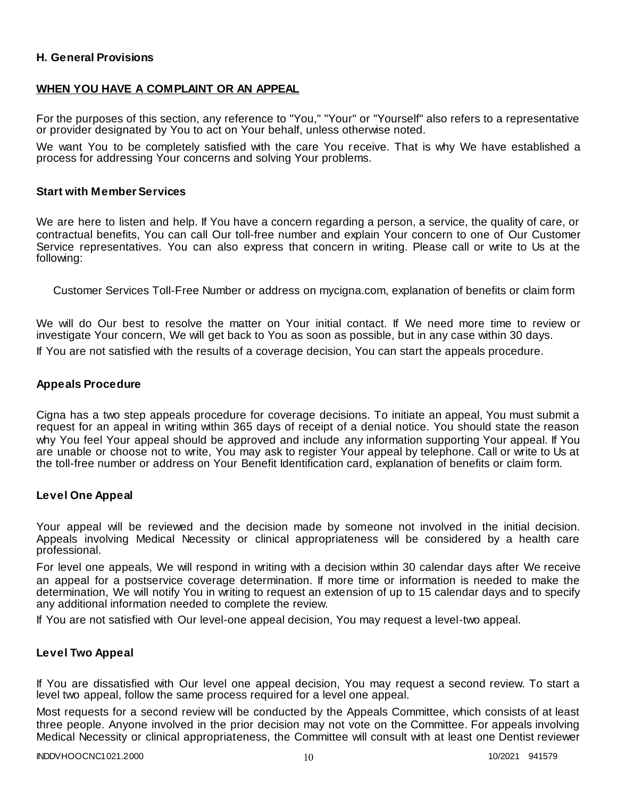### **H. General Provisions**

### **WHEN YOU HAVE A COMPLAINT OR AN APPEAL**

For the purposes of this section, any reference to "You," "Your" or "Yourself" also refers to a representative or provider designated by You to act on Your behalf, unless otherwise noted.

We want You to be completely satisfied with the care You receive. That is why We have established a process for addressing Your concerns and solving Your problems.

#### **Start with Member Services**

We are here to listen and help. If You have a concern regarding a person, a service, the quality of care, or contractual benefits, You can call Our toll-free number and explain Your concern to one of Our Customer Service representatives. You can also express that concern in writing. Please call or write to Us at the following:

Customer Services Toll-Free Number or address on mycigna.com, explanation of benefits or claim form

We will do Our best to resolve the matter on Your initial contact. If We need more time to review or investigate Your concern, We will get back to You as soon as possible, but in any case within 30 days.

If You are not satisfied with the results of a coverage decision, You can start the appeals procedure.

#### **Appeals Procedure**

Cigna has a two step appeals procedure for coverage decisions. To initiate an appeal, You must submit a request for an appeal in writing within 365 days of receipt of a denial notice. You should state the reason why You feel Your appeal should be approved and include any information supporting Your appeal. If You are unable or choose not to write, You may ask to register Your appeal by telephone. Call or write to Us at the toll-free number or address on Your Benefit Identification card, explanation of benefits or claim form.

#### **Level One Appeal**

Your appeal will be reviewed and the decision made by someone not involved in the initial decision. Appeals involving Medical Necessity or clinical appropriateness will be considered by a health care professional.

For level one appeals, We will respond in writing with a decision within 30 calendar days after We receive an appeal for a postservice coverage determination. If more time or information is needed to make the determination, We will notify You in writing to request an extension of up to 15 calendar days and to specify any additional information needed to complete the review.

If You are not satisfied with Our level-one appeal decision, You may request a level-two appeal.

#### **Level Two Appeal**

If You are dissatisfied with Our level one appeal decision, You may request a second review. To start a level two appeal, follow the same process required for a level one appeal.

Most requests for a second review will be conducted by the Appeals Committee, which consists of at least three people. Anyone involved in the prior decision may not vote on the Committee. For appeals involving Medical Necessity or clinical appropriateness, the Committee will consult with at least one Dentist reviewer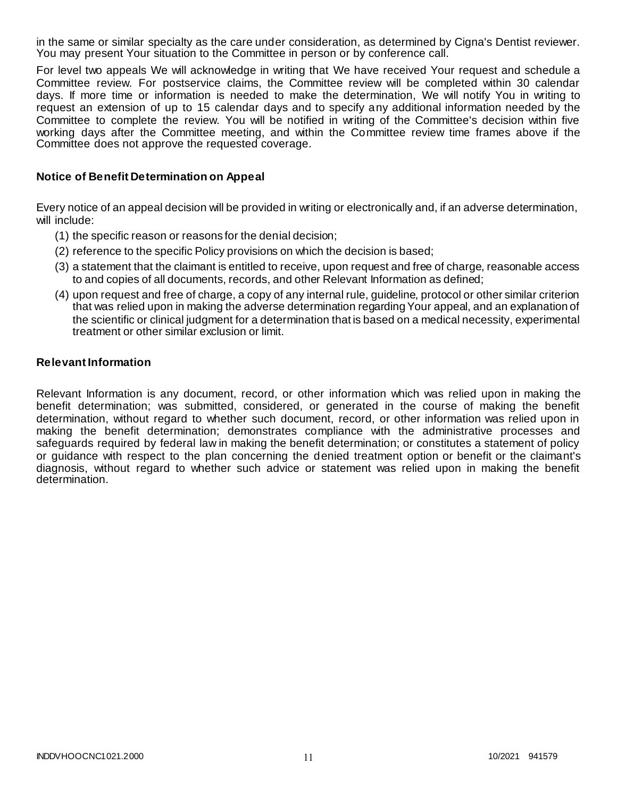in the same or similar specialty as the care under consideration, as determined by Cigna's Dentist reviewer. You may present Your situation to the Committee in person or by conference call.

For level two appeals We will acknowledge in writing that We have received Your request and schedule a Committee review. For postservice claims, the Committee review will be completed within 30 calendar days. If more time or information is needed to make the determination, We will notify You in writing to request an extension of up to 15 calendar days and to specify any additional information needed by the Committee to complete the review. You will be notified in writing of the Committee's decision within five working days after the Committee meeting, and within the Committee review time frames above if the Committee does not approve the requested coverage.

### **Notice of Benefit Determination on Appeal**

Every notice of an appeal decision will be provided in writing or electronically and, if an adverse determination, will include:

- (1) the specific reason or reasons for the denial decision;
- (2) reference to the specific Policy provisions on which the decision is based;
- (3) a statement that the claimant is entitled to receive, upon request and free of charge, reasonable access to and copies of all documents, records, and other Relevant Information as defined;
- (4) upon request and free of charge, a copy of any internal rule, guideline, protocol or other similar criterion that was relied upon in making the adverse determination regarding Your appeal, and an explanation of the scientific or clinical judgment for a determination that is based on a medical necessity, experimental treatment or other similar exclusion or limit.

#### **Relevant Information**

Relevant Information is any document, record, or other information which was relied upon in making the benefit determination; was submitted, considered, or generated in the course of making the benefit determination, without regard to whether such document, record, or other information was relied upon in making the benefit determination; demonstrates compliance with the administrative processes and safeguards required by federal law in making the benefit determination; or constitutes a statement of policy or guidance with respect to the plan concerning the denied treatment option or benefit or the claimant's diagnosis, without regard to whether such advice or statement was relied upon in making the benefit determination.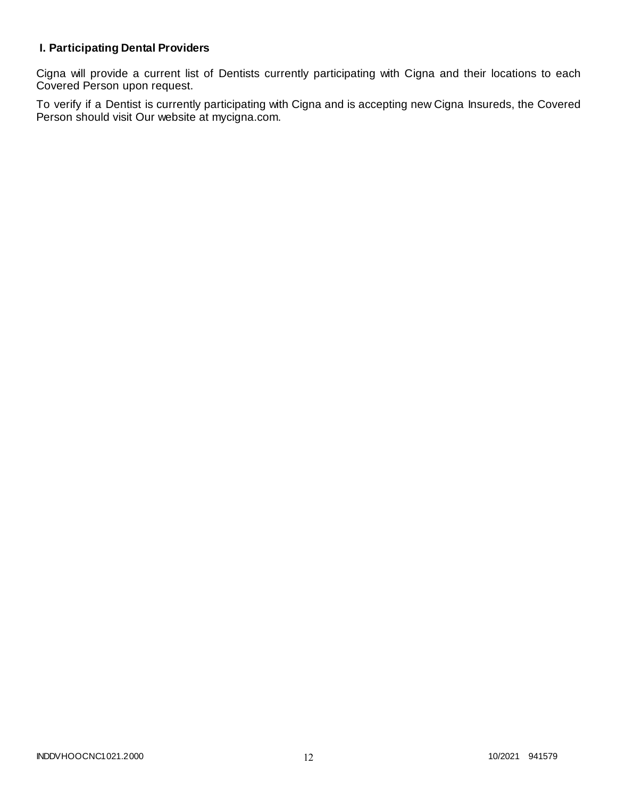# **I. Participating Dental Providers**

Cigna will provide a current list of Dentists currently participating with Cigna and their locations to each Covered Person upon request.

To verify if a Dentist is currently participating with Cigna and is accepting new Cigna Insureds, the Covered Person should visit Our website at mycigna.com.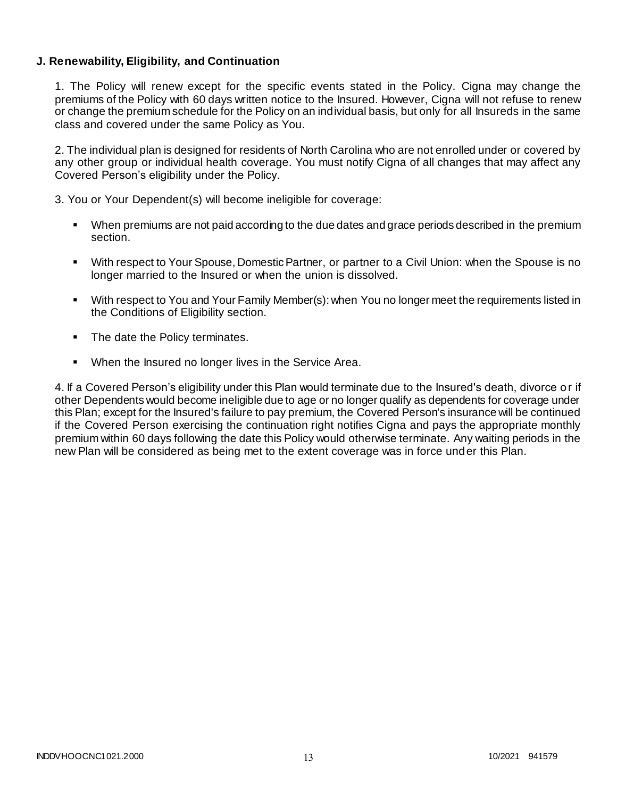### **J. Renewability, Eligibility, and Continuation**

1. The Policy will renew except for the specific events stated in the Policy. Cigna may change the premiums of the Policy with 60 days written notice to the Insured. However, Cigna will not refuse to renew or change the premium schedule for the Policy on an individual basis, but only for all Insureds in the same class and covered under the same Policy as You.

2. The individual plan is designed for residents of North Carolina who are not enrolled under or covered by any other group or individual health coverage. You must notify Cigna of all changes that may affect any Covered Person's eligibility under the Policy.

3. You or Your Dependent(s) will become ineligible for coverage:

- When premiums are not paid according to the due dates and grace periods described in the premium section.
- With respect to Your Spouse, Domestic Partner, or partner to a Civil Union: when the Spouse is no longer married to the Insured or when the union is dissolved.
- With respect to You and Your Family Member(s): when You no longer meet the requirements listed in the Conditions of Eligibility section.
- The date the Policy terminates.
- **When the Insured no longer lives in the Service Area.**

4. If a Covered Person's eligibility under this Plan would terminate due to the Insured's death, divorce or if other Dependents would become ineligible due to age or no longer qualify as dependents for coverage under this Plan; except for the Insured's failure to pay premium, the Covered Person's insurance will be continued if the Covered Person exercising the continuation right notifies Cigna and pays the appropriate monthly premium within 60 days following the date this Policy would otherwise terminate. Any waiting periods in the new Plan will be considered as being met to the extent coverage was in force under this Plan.